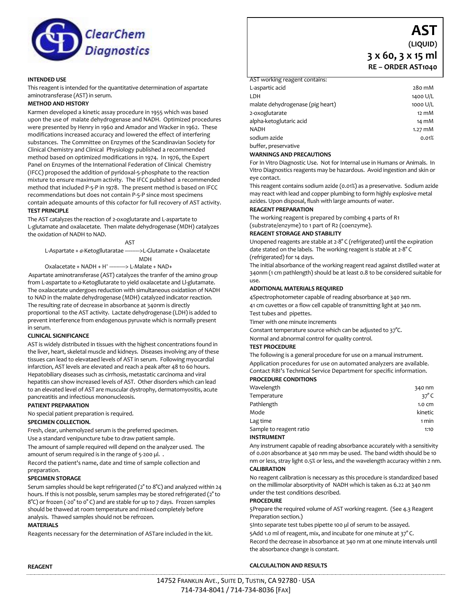

## **INTENDED USE**

This reagent is intended for the quantitative determination of aspartate aminotransferase (AST) in serum.

#### **METHOD AND HISTORY**

Karmen developed a kinetic assay procedure in 1955 which was based upon the use of malate dehydrogenase and NADH. Optimized procedures were presented by Henry in 1960 and Amador and Wacker in 1962. These modifications increased accuracy and lowered the effect of interfering substances. The Committee on Enzymes of the Scandinavian Society for Clinical Chemistry and Clinical Physiology published a recommended method based on optimized modifications in 1974. In 1976, the Expert Panel on Enzymes of the International Federation of Clinical Chemistry (IFCC) proposed the addition of pyridoxal-5-phosphate to the reaction mixture to ensure maximum activity. The IFCC published a recommended method that included P-5-P in 1978. The present method is based on IFCC recommendations but does not contain P-5-P since most specimens contain adequate amounts of this cofactor for full recovery of AST activity. **TEST PRINCIPLE**

The AST catalyzes the reaction of 2-oxoglutarate and L-aspartate to L-glutamate and oxalacetate. Then malate dehydrogenase (MDH) catalyzes the oxidation of NADH to NAD.

AST

L-Aspartate + *a*-Ketogllutaratae ---------->L-Glutamate + Oxalacetate MDH

Oxalacetate +  $NADH + H^+$  -------> L-Malate + NAD+

Aspartate aminotransferase (AST) catalyzes the tranfer of the amino group from L-aspartate to *a*-Ketogllutarate to yield oxalacetate and Ll-glutamate. The oxalacetate undergoes reduction with simultaneous oxidatiion of NADH to NAD in the malate dehydrogenase (MDH) catalyzed indicator reaction. The resulting rate of decrease in absorbance at 340nm is directly proportional to the AST activity. Lactate dehydrogenase (LDH) is added to prevent interference from endogenous pyruvate which is normally present in serum.

#### **CLINICAL SIGNIFICANCE**

AST is widely distributed in tissues with the highest concentrations found in the liver, heart, skeletal muscle and kidneys. Diseases involving any of these tissues can lead to elevataed levels of AST in serum. Following myocardial infarction, AST levels are elevated and reach a peak after 48 to 60 hours. Hepatobiliary diseases such as cirrhosis, metastatic carcinoma and viral hepatitis can show increased levels of AST. Other disorders which can lead to an elevated level of AST are muscular dystrophy, dermatomyositis, acute pancreatitis and infectious mononucleosis.

#### **PATIENT PREPARATION**

No special patient preparation is required.

#### **SPECIMEN COLLECTION.**

Fresh, clear, unhemolyzed serum is the preferred specimen.

Use a standard venipuncture tube to draw patient sample.

The amount of sample required will depend on the analyzer used. The amount of serum required is in the range of 5-200 µl. .

Record the patient's name, date and time of sample collection and preparation.

## **SPECIMEN STORAGE**

Serum samples should be kept refrigerated (2° to 8°C) and analyzed within 24 hours. If this is not possible, serum samples may be stored refrigerated (2° to 8°C) or frozen (-20° to 0° C) and are stable for up to 7 days. Frozen samples should be thawed at room temperature and mixed completely before analysis. Thawed samples should not be refrozen.

# **MATERIALS**

Reagents necessary for the determination of ASTare included in the kit.

**AST (LIQUID) 3 x 60, 3 x 15 ml RE – ORDER AST1040**

# AST working reagent contains:

| L-aspartic acid                  | 280 mM            |
|----------------------------------|-------------------|
| LDH                              | 1400 U/L          |
| malate dehydrogenase (pig heart) | 1000 U/L          |
| 2-oxoglutarate                   | $12 \text{ mM}$   |
| alpha-ketoglutaric acid          | 14 mM             |
| <b>NADH</b>                      | $1.27 \text{ mM}$ |
| sodium azide                     | 0.01%             |
| buffer, preservative             |                   |
|                                  |                   |

## **WARNINGS AND PRECAUTIONS**

For In Vitro Diagnostic Use. Not for Internal use in Humans or Animals. In Vitro Diagnostics reagents may be hazardous. Avoid ingestion and skin or eye contact.

This reagent contains sodium azide (0.01%) as a preservative. Sodium azide may react with lead and copper plumbing to form highly explosive metal azides. Upon disposal, flush with large amounts of water.

#### **REAGENT PREPARATION**

The working reagent is prepared by combing 4 parts of R1 (substrate/enzyme) to 1 part of R2 (coenzyme).

#### **REAGENT STORAGE AND STABILITY**

Unopened reagents are stable at 2-8° C (refrigerated) until the expiration date stated on the labels. The working reagent is stable at 2-8° C (refrigerated) for 14 days.

The initial absorbance of the working reagent read against distilled water at 340nm (1 cm pathlength) should be at least 0.8 to be considered suitable for use.

#### **ADDITIONAL MATERIALS REQUIRED**

4Spectrophotometer capable of reading absorbance at 340 nm. 41 cm cuvettes or a flow cell capable of transmitting light at 340 nm.

Test tubes and pipettes.

Timer with one minute increments

Constant temperature source which can be adjusted to 37°C.

# Normal and abnormal control for quality control.

# **TEST PROCEDURE**

The following is a general procedure for use on a manual instrument. Application procedures for use on automated analyzers are available. Contact RBI's Technical Service Department for specific information. **PROCEDURE CONDITIONS**

# Wavelength 340 nm Temperature  $37^\circ$  C Pathlength 1.0 cm Mode **kinetic** Lag time 1 min Sample to reagent ratio 1:10

### **INSTRUMENT**

Any instrument capable of reading absorbance accurately with a sensitivity of 0.001 absorbance at 340 nm may be used. The band width should be 10 nm or less, stray light 0.5% or less, and the wavelength accuracy within 2 nm. **CALIBRATION**

No reagent calibration is necessary as this procedure is standardized based on the millimolar absorptivity of NADH which is taken as 6.22 at 340 nm under the test conditions described.

## **PROCEDURE**

5Prepare the required volume of AST working reagent. (See 4.3 Reagent Preparation section.)

5Into separate test tubes pipette 100 µl of serum to be assayed. 5Add 1.0 ml of reagent, mix, and incubate for one minute at 37°C. Record the decrease in absorbance at 340 nm at one minute intervals until the absorbance change is constant.

# **CALCULALTION AND RESULTS**